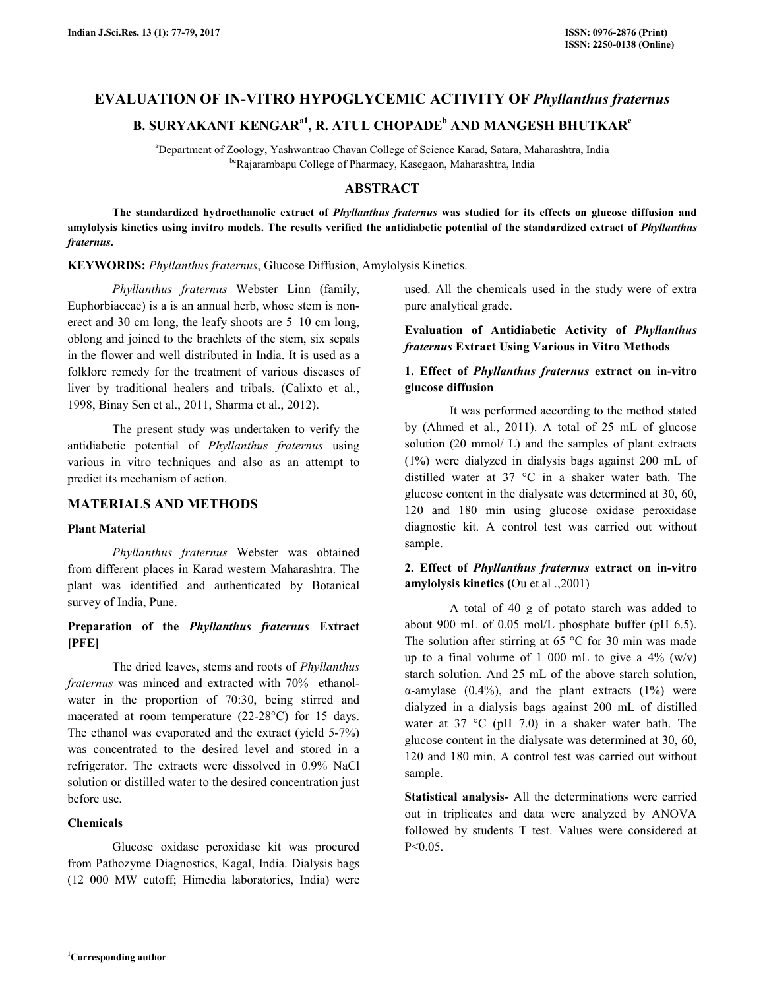## **EVALUATION OF IN-VITRO HYPOGLYCEMIC ACTIVITY OF** *Phyllanthus fraternus*

# **B. SURYAKANT KENGARa1, R. ATUL CHOPADE<sup>b</sup> AND MANGESH BHUTKAR<sup>c</sup>**

<sup>a</sup>Department of Zoology, Yashwantrao Chavan College of Science Karad, Satara, Maharashtra, India bcRajarambapu College of Pharmacy, Kasegaon, Maharashtra, India

## **ABSTRACT**

 **The standardized hydroethanolic extract of** *Phyllanthus fraternus* **was studied for its effects on glucose diffusion and amylolysis kinetics using invitro models. The results verified the antidiabetic potential of the standardized extract of** *Phyllanthus fraternus***.** 

**KEYWORDS:** *Phyllanthus fraternus*, Glucose Diffusion, Amylolysis Kinetics.

*Phyllanthus fraternus* Webster Linn (family, Euphorbiaceae) is a is an annual herb, whose stem is nonerect and 30 cm long, the leafy shoots are 5–10 cm long, oblong and joined to the brachlets of the stem, six sepals in the flower and well distributed in India. It is used as a folklore remedy for the treatment of various diseases of liver by traditional healers and tribals. (Calixto et al., 1998, Binay Sen et al., 2011, Sharma et al., 2012).

The present study was undertaken to verify the antidiabetic potential of *Phyllanthus fraternus* using various in vitro techniques and also as an attempt to predict its mechanism of action.

### **MATERIALS AND METHODS**

#### **Plant Material**

 *Phyllanthus fraternus* Webster was obtained from different places in Karad western Maharashtra. The plant was identified and authenticated by Botanical survey of India, Pune.

## **Preparation of the** *Phyllanthus fraternus* **Extract [PFE]**

 The dried leaves, stems and roots of *Phyllanthus fraternus* was minced and extracted with 70% ethanolwater in the proportion of 70:30, being stirred and macerated at room temperature (22-28°C) for 15 days. The ethanol was evaporated and the extract (yield 5-7%) was concentrated to the desired level and stored in a refrigerator. The extracts were dissolved in 0.9% NaCl solution or distilled water to the desired concentration just before use.

### **Chemicals**

 Glucose oxidase peroxidase kit was procured from Pathozyme Diagnostics, Kagal, India. Dialysis bags (12 000 MW cutoff; Himedia laboratories, India) were

used. All the chemicals used in the study were of extra pure analytical grade.

## **Evaluation of Antidiabetic Activity of** *Phyllanthus fraternus* **Extract Using Various in Vitro Methods**

## **1. Effect of** *Phyllanthus fraternus* **extract on in-vitro glucose diffusion**

 It was performed according to the method stated by (Ahmed et al., 2011). A total of 25 mL of glucose solution (20 mmol/ L) and the samples of plant extracts (1%) were dialyzed in dialysis bags against 200 mL of distilled water at 37 °C in a shaker water bath. The glucose content in the dialysate was determined at 30, 60, 120 and 180 min using glucose oxidase peroxidase diagnostic kit. A control test was carried out without sample.

### **2. Effect of** *Phyllanthus fraternus* **extract on in-vitro amylolysis kinetics (**Ou et al .,2001)

 A total of 40 g of potato starch was added to about 900 mL of 0.05 mol/L phosphate buffer (pH 6.5). The solution after stirring at 65  $\degree$ C for 30 min was made up to a final volume of 1 000 mL to give a  $4\%$  (w/v) starch solution. And 25 mL of the above starch solution, α-amylase  $(0.4\%)$ , and the plant extracts  $(1\%)$  were dialyzed in a dialysis bags against 200 mL of distilled water at 37 °C (pH 7.0) in a shaker water bath. The glucose content in the dialysate was determined at 30, 60, 120 and 180 min. A control test was carried out without sample.

**Statistical analysis-** All the determinations were carried out in triplicates and data were analyzed by ANOVA followed by students T test. Values were considered at P<0.05.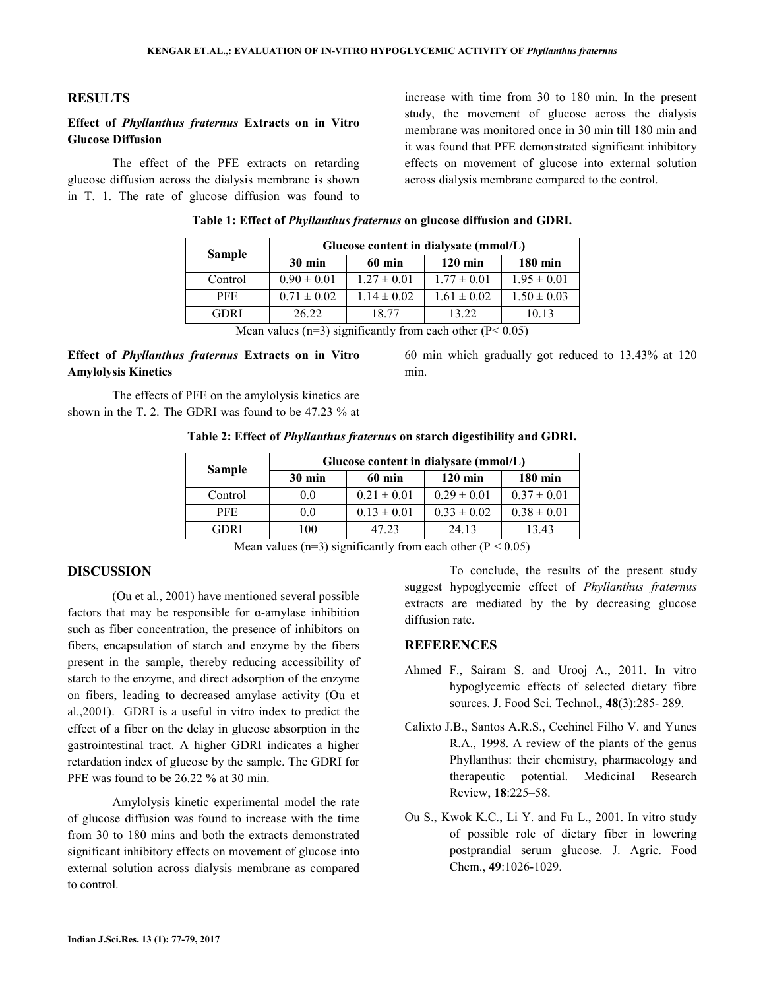#### **RESULTS**

## **Effect of** *Phyllanthus fraternus* **Extracts on in Vitro Glucose Diffusion**

 The effect of the PFE extracts on retarding glucose diffusion across the dialysis membrane is shown in T. 1. The rate of glucose diffusion was found to increase with time from 30 to 180 min. In the present study, the movement of glucose across the dialysis membrane was monitored once in 30 min till 180 min and it was found that PFE demonstrated significant inhibitory effects on movement of glucose into external solution across dialysis membrane compared to the control.

60 min which gradually got reduced to 13.43% at 120

|               | Glucose content in dialysate (mmol/L)           |                 |                 |                   |  |  |
|---------------|-------------------------------------------------|-----------------|-----------------|-------------------|--|--|
| <b>Sample</b> | $30 \text{ min}$<br>$120 \text{ min}$<br>60 min |                 |                 | $180 \text{ min}$ |  |  |
| Control       | $0.90 \pm 0.01$                                 | $1.27 \pm 0.01$ | $1.77 \pm 0.01$ | $1.95 \pm 0.01$   |  |  |
| PFE.          | $0.71 \pm 0.02$                                 | $1.14 \pm 0.02$ | $1.61 \pm 0.02$ | $1.50 \pm 0.03$   |  |  |
| <b>GDRI</b>   | 26.22                                           | 18.77           | 13.22           | 10.13             |  |  |
|               | $M = 1$ (2) $C = 10$ (1) $D = 0.07$             |                 |                 |                   |  |  |

|  |  |  | Table 1: Effect of <i>Phyllanthus fraternus</i> on glucose diffusion and GDRI. |  |  |
|--|--|--|--------------------------------------------------------------------------------|--|--|
|  |  |  |                                                                                |  |  |

Mean values ( $n=3$ ) significantly from each other ( $P < 0.05$ )

### **Effect of** *Phyllanthus fraternus* **Extracts on in Vitro Amylolysis Kinetics**

 The effects of PFE on the amylolysis kinetics are shown in the T. 2. The GDRI was found to be 47.23 % at

**Table 2: Effect of** *Phyllanthus fraternus* **on starch digestibility and GDRI.**

min.

| <b>Sample</b> | Glucose content in dialysate (mmol/L) |                 |                   |                 |  |  |
|---------------|---------------------------------------|-----------------|-------------------|-----------------|--|--|
|               | $30 \text{ min}$                      | 60 min          | $120 \text{ min}$ | 180 min         |  |  |
| Control       | 0.0                                   | $0.21 \pm 0.01$ | $0.29 \pm 0.01$   | $0.37 \pm 0.01$ |  |  |
| <b>PFE</b>    | 0.0                                   | $0.13 \pm 0.01$ | $0.33 \pm 0.02$   | $0.38 \pm 0.01$ |  |  |
| <b>GDRI</b>   | 100                                   | 47.23           | 24.13             | 13.43           |  |  |

Mean values (n=3) significantly from each other ( $P < 0.05$ )

## **DISCUSSION**

 (Ou et al., 2001) have mentioned several possible factors that may be responsible for  $\alpha$ -amylase inhibition such as fiber concentration, the presence of inhibitors on fibers, encapsulation of starch and enzyme by the fibers present in the sample, thereby reducing accessibility of starch to the enzyme, and direct adsorption of the enzyme on fibers, leading to decreased amylase activity (Ou et al.,2001). GDRI is a useful in vitro index to predict the effect of a fiber on the delay in glucose absorption in the gastrointestinal tract. A higher GDRI indicates a higher retardation index of glucose by the sample. The GDRI for PFE was found to be 26.22 % at 30 min.

 Amylolysis kinetic experimental model the rate of glucose diffusion was found to increase with the time from 30 to 180 mins and both the extracts demonstrated significant inhibitory effects on movement of glucose into external solution across dialysis membrane as compared to control.

 To conclude, the results of the present study suggest hypoglycemic effect of *Phyllanthus fraternus* extracts are mediated by the by decreasing glucose diffusion rate.

#### **REFERENCES**

- Ahmed F., Sairam S. and Urooj A., 2011. In vitro hypoglycemic effects of selected dietary fibre sources. J. Food Sci. Technol., **48**(3):285- 289.
- Calixto J.B., Santos A.R.S., Cechinel Filho V. and Yunes R.A., 1998. A review of the plants of the genus Phyllanthus: their chemistry, pharmacology and therapeutic potential. Medicinal Research Review, **18**:225–58.
- Ou S., Kwok K.C., Li Y. and Fu L., 2001. In vitro study of possible role of dietary fiber in lowering postprandial serum glucose. J. Agric. Food Chem., **49**:1026-1029.